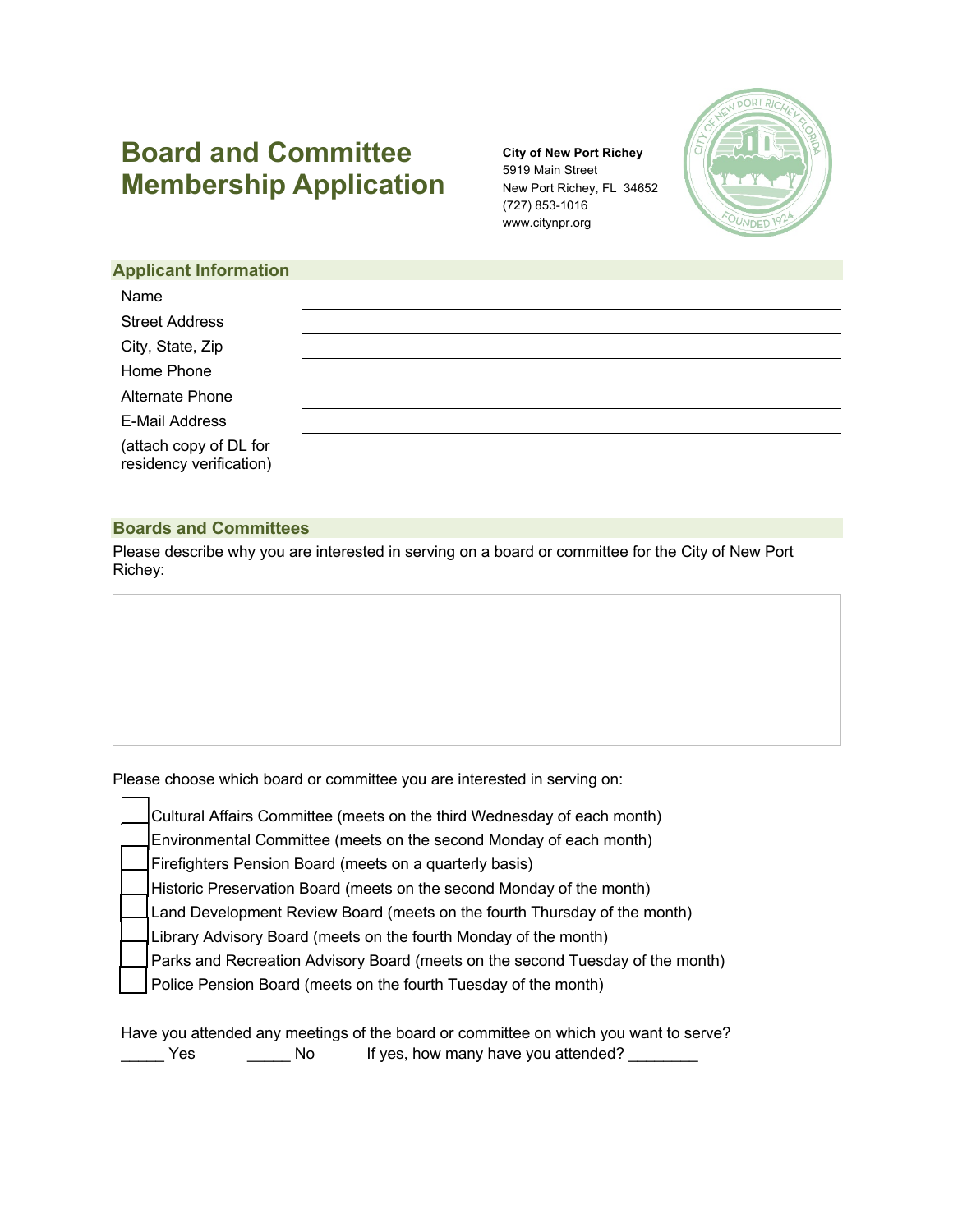# **Board and Committee Membership Application**

**City of New Port Richey** 5919 Main Street New Port Richey, FL 34652 (727) 853-1016 www.citynpr.org



|  | <b>Applicant Information</b> |  |
|--|------------------------------|--|
|  |                              |  |

| Name                                              |  |  |
|---------------------------------------------------|--|--|
| <b>Street Address</b>                             |  |  |
| City, State, Zip                                  |  |  |
| Home Phone                                        |  |  |
| Alternate Phone                                   |  |  |
| <b>E-Mail Address</b>                             |  |  |
| (attach copy of DL for<br>residency verification) |  |  |

# **Boards and Committees**

Н H.

Please describe why you are interested in serving on a board or committee for the City of New Port Richey:

Please choose which board or committee you are interested in serving on:

| Cultural Affairs Committee (meets on the third Wednesday of each month)        |
|--------------------------------------------------------------------------------|
| Environmental Committee (meets on the second Monday of each month)             |
| Firefighters Pension Board (meets on a quarterly basis)                        |
| Historic Preservation Board (meets on the second Monday of the month)          |
| Land Development Review Board (meets on the fourth Thursday of the month)      |
| Library Advisory Board (meets on the fourth Monday of the month)               |
| Parks and Recreation Advisory Board (meets on the second Tuesday of the month) |
| Police Pension Board (meets on the fourth Tuesday of the month)                |
|                                                                                |

Have you attended any meetings of the board or committee on which you want to serve? Yes Mo If yes, how many have you attended?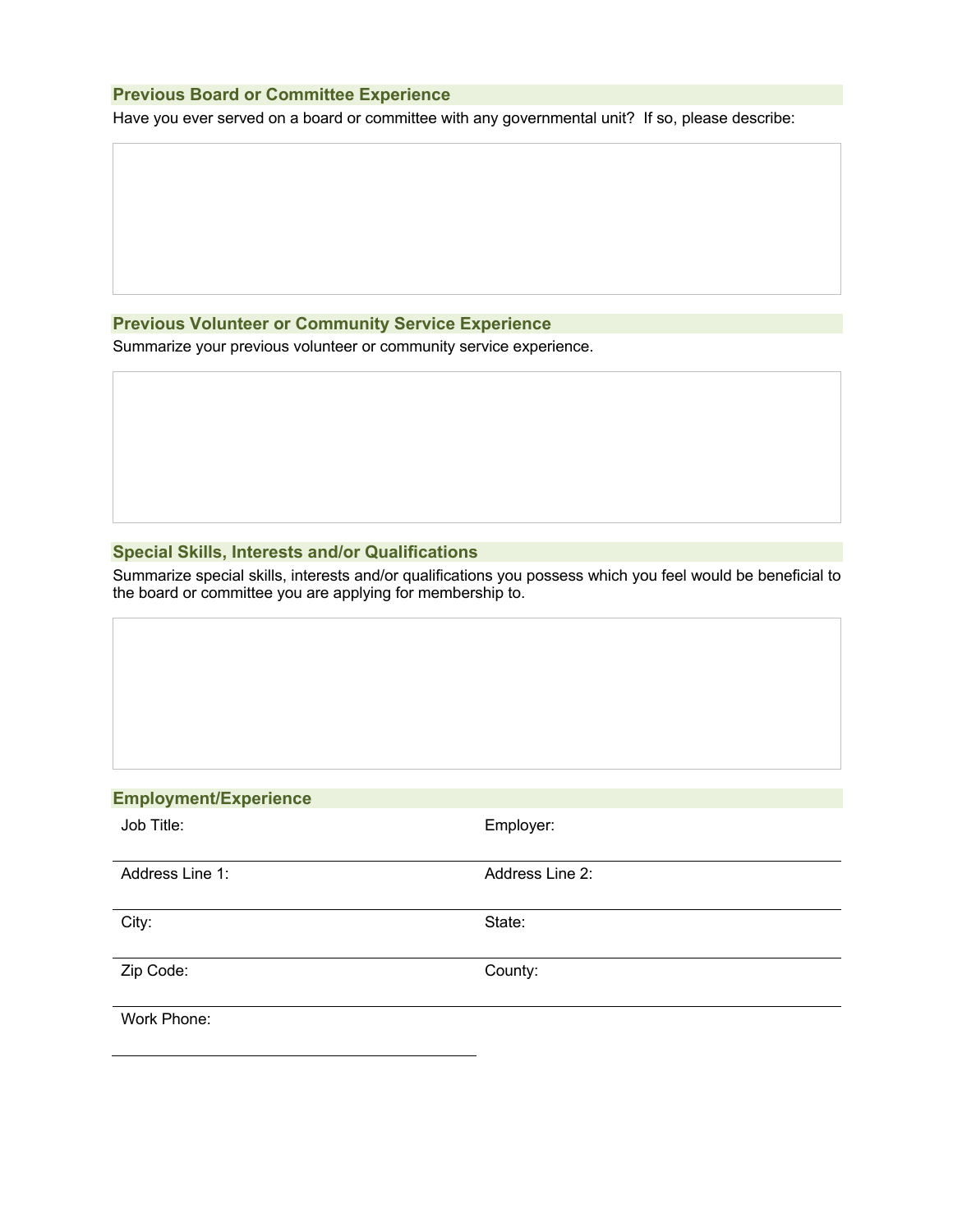# **Previous Board or Committee Experience**

Have you ever served on a board or committee with any governmental unit? If so, please describe:

## **Previous Volunteer or Community Service Experience**

Summarize your previous volunteer or community service experience.

## **Special Skills, Interests and/or Qualifications**

Summarize special skills, interests and/or qualifications you possess which you feel would be beneficial to the board or committee you are applying for membership to.

# **Employment/Experience**

| Job Title:      | Employer:       |
|-----------------|-----------------|
| Address Line 1: | Address Line 2: |
| City:           | State:          |
| Zip Code:       | County:         |
| Work Phone:     |                 |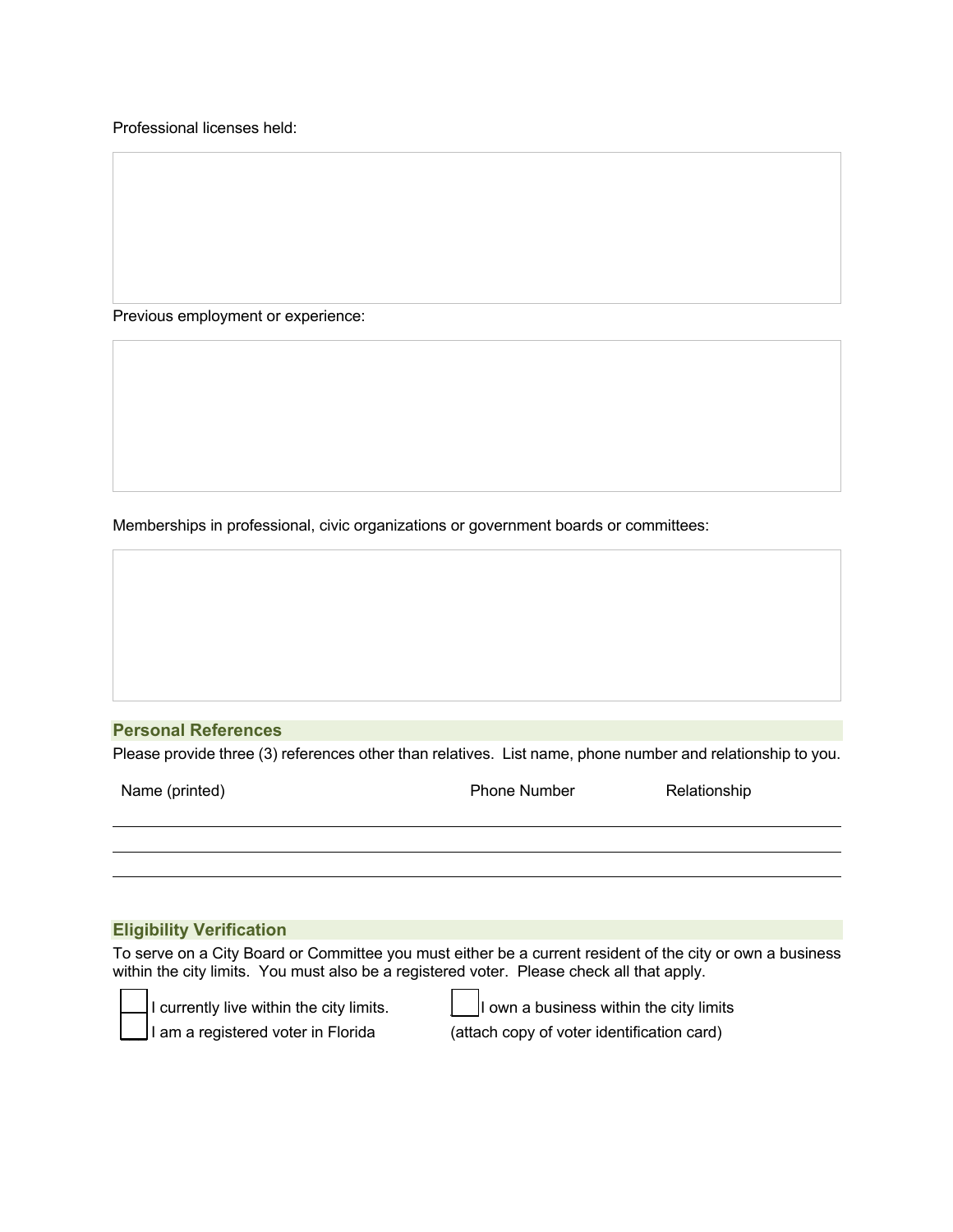Professional licenses held:

Previous employment or experience:

Memberships in professional, civic organizations or government boards or committees:

## **Personal References**

Please provide three (3) references other than relatives. List name, phone number and relationship to you.

Phone Number Relationship

#### **Eligibility Verification**

To serve on a City Board or Committee you must either be a current resident of the city or own a business within the city limits. You must also be a registered voter. Please check all that apply.



I currently live within the city limits.  $\Box$  I own a business within the city limits  $\vert$ l am a registered voter in Florida (attach copy of voter identification card)